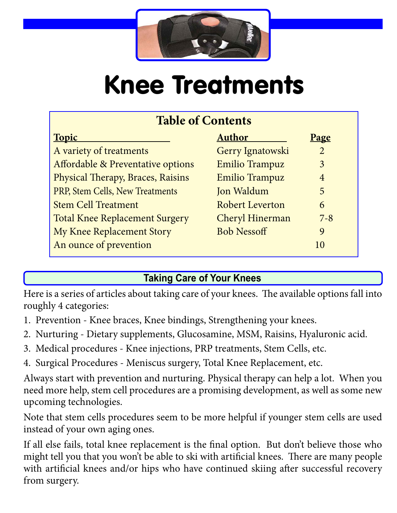

# Knee Treatments

| <b>Table of Contents</b>              |                        |                |
|---------------------------------------|------------------------|----------------|
| <b>Topic</b>                          | <b>Author</b>          | <u>Page</u>    |
| A variety of treatments               | Gerry Ignatowski       | $\overline{2}$ |
| Affordable & Preventative options     | <b>Emilio Trampuz</b>  | 3              |
| Physical Therapy, Braces, Raisins     | <b>Emilio Trampuz</b>  | $\overline{4}$ |
| PRP, Stem Cells, New Treatments       | Jon Waldum             | 5              |
| <b>Stem Cell Treatment</b>            | <b>Robert Leverton</b> | 6              |
| <b>Total Knee Replacement Surgery</b> | Cheryl Hinerman        | $7 - 8$        |
| My Knee Replacement Story             | <b>Bob Nessoff</b>     | 9              |
| An ounce of prevention                |                        | 10             |

# **Taking Care of Your Knees**

Here is a series of articles about taking care of your knees. The available options fall into roughly 4 categories:

- 1. Prevention Knee braces, Knee bindings, Strengthening your knees.
- 2. Nurturing Dietary supplements, Glucosamine, MSM, Raisins, Hyaluronic acid.
- 3. Medical procedures Knee injections, PRP treatments, Stem Cells, etc.
- 4. Surgical Procedures Meniscus surgery, Total Knee Replacement, etc.

Always start with prevention and nurturing. Physical therapy can help a lot. When you need more help, stem cell procedures are a promising development, as well as some new upcoming technologies.

Note that stem cells procedures seem to be more helpful if younger stem cells are used instead of your own aging ones.

If all else fails, total knee replacement is the final option. But don't believe those who might tell you that you won't be able to ski with artificial knees. There are many people with artificial knees and/or hips who have continued skiing after successful recovery from surgery.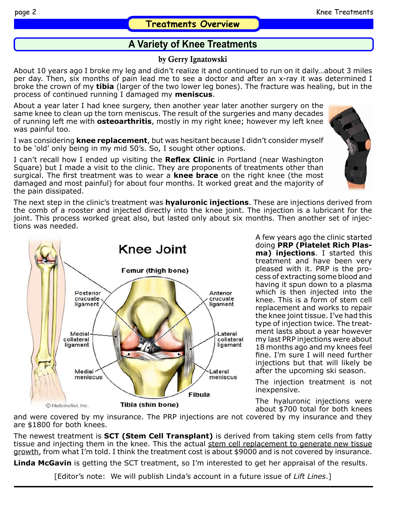# **A Variety of Knee Treatments**

#### by Gerry Ignatowski

About 10 years ago I broke my leg and didn't realize it and continued to run on it daily…about 3 miles per day. Then, six months of pain lead me to see a doctor and after an x-ray it was determined I broke the crown of my **tibia** (larger of the two lower leg bones). The fracture was healing, but in the process of continued running I damaged my **meniscus**.

About a year later I had knee surgery, then another year later another surgery on the same knee to clean up the torn meniscus. The result of the surgeries and many decades of running left me with **osteoarthritis**, mostly in my right knee; however my left knee was painful too.

I was considering **knee replacement**, but was hesitant because I didn't consider myself to be 'old' only being in my mid 50's. So, I sought other options.

I can't recall how I ended up visiting the **Reflex Clinic** in Portland (near Washington Square) but I made a visit to the clinic. They are proponents of treatments other than surgical. The first treatment was to wear a **knee brace** on the right knee (the most damaged and most painful) for about four months. It worked great and the majority of the pain dissipated.

The next step in the clinic's treatment was **hyaluronic injections**. These are injections derived from the comb of a rooster and injected directly into the knee joint. The injection is a lubricant for the joint. This process worked great also, but lasted only about six months. Then another set of injections was needed.

> A few years ago the clinic started doing **PRP (Platelet Rich Plasma) injections**. I started this treatment and have been very pleased with it. PRP is the process of extracting some blood and having it spun down to a plasma which is then injected into the knee. This is a form of stem cell replacement and works to repair the knee joint tissue. I've had this type of injection twice. The treatment lasts about a year however my last PRP injections were about 18 months ago and my knees feel fine. I'm sure I will need further injections but that will likely be after the upcoming ski season.

The injection treatment is not inexpensive.

The hyaluronic injections were about \$700 total for both knees

and were covered by my insurance. The PRP injections are not covered by my insurance and they are \$1800 for both knees.

The newest treatment is **SCT (Stem Cell Transplant)** is derived from taking stem cells from fatty tissue and injecting them in the knee. This the actual stem cell replacement to generate new tissue growth, from what I'm told. I think the treatment cost is about \$9000 and is not covered by insurance.

**Linda McGavin** is getting the SCT treatment, so I'm interested to get her appraisal of the results.

[Editor's note: We will publish Linda's account in a future issue of *Lift Lines*.]



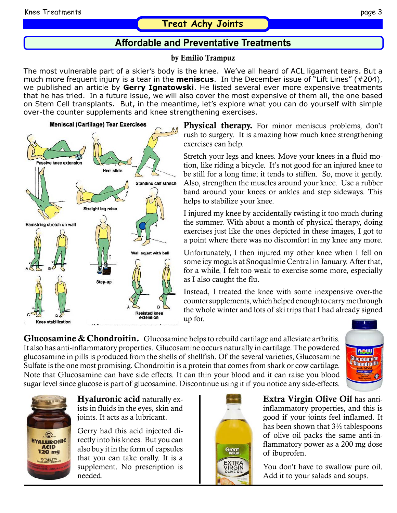## **Treat Achy Joints**

# **Affordable and Preventative Treatments**

by Emilio Trampuz

The most vulnerable part of a skier's body is the knee. We've all heard of ACL ligament tears. But a much more frequent injury is a tear in the **meniscus**. In the December issue of "Lift Lines" (#204), we published an article by **Gerry Ignatowski**. He listed several ever more expensive treatments that he has tried. In a future issue, we will also cover the most expensive of them all, the one based on Stem Cell transplants. But, in the meantime, let's explore what you can do yourself with simple over-the counter supplements and knee strengthening exercises.



**Physical therapy.** For minor meniscus problems, don't rush to surgery. It is amazing how much knee strengthening exercises can help.

Stretch your legs and knees. Move your knees in a fluid motion, like riding a bicycle. It's not good for an injured knee to be still for a long time; it tends to stiffen. So, move it gently. Also, strengthen the muscles around your knee. Use a rubber band around your knees or ankles and step sideways. This helps to stabilize your knee.

I injured my knee by accidentally twisting it too much during the summer. With about a month of physical therapy, doing exercises just like the ones depicted in these images, I got to a point where there was no discomfort in my knee any more.

Unfortunately, I then injured my other knee when I fell on some icy moguls at Snoqualmie Central in January. After that, for a while, I felt too weak to exercise some more, especially as I also caught the flu.

Instead, I treated the knee with some inexpensive over-the counter supplements, which helped enough to carry me through the whole winter and lots of ski trips that I had already signed up for.

**Glucosamine & Chondroitin.** Glucosamine helps to rebuild cartilage and alleviate arthritis. It also has anti-inflammatory properties. Glucosamine occurs naturally in cartilage. The powdered glucosamine in pills is produced from the shells of shellfish. Of the several varieties, Glucosamine Sulfate is the one most promising. Chondroitin is a protein that comes from shark or cow cartilage. Note that Glucosamine can have side effects. It can thin your blood and it can raise you blood sugar level since glucose is part of glucosamine. Discontinue using it if you notice any side-effects.





Hyaluronic acid naturally exists in fluids in the eyes, skin and joints. It acts as a lubricant.

Gerry had this acid injected directly into his knees. But you can also buy it in the form of capsules that you can take orally. It is a supplement. No prescription is needed.



Extra Virgin Olive Oil has antiinflammatory properties, and this is good if your joints feel inflamed. It has been shown that 3½ tablespoons of olive oil packs the same anti-inflammatory power as a 200 mg dose of ibuprofen.

You don't have to swallow pure oil. Add it to your salads and soups.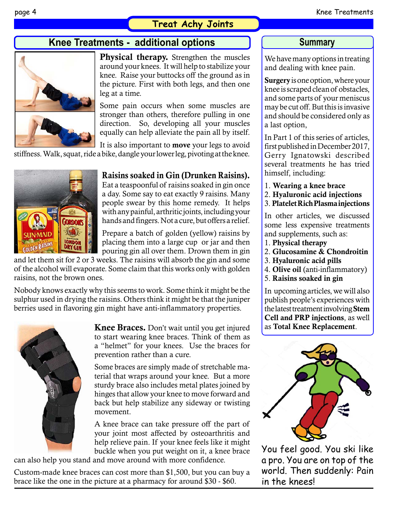## **Treat Achy Joints**

# **Knee Treatments - additional options**



**Physical therapy.** Strengthen the muscles around your knees. It will help to stabilize your knee. Raise your buttocks off the ground as in the picture. First with both legs, and then one leg at a time.

Some pain occurs when some muscles are stronger than others, therefore pulling in one direction. So, developing all your muscles equally can help alleviate the pain all by itself.

It is also important to move your legs to avoid stiffness. Walk, squat, ride a bike, dangle your lower leg, pivoting at the knee.

**DRY GIN** 

#### Raisins soaked in Gin (Drunken Raisins).

Eat a teaspoonful of raisins soaked in gin once a day. Some say to eat exactly 9 raisins. Many people swear by this home remedy. It helps with any painful, arthritic joints, including your hands and fingers. Not a cure, but offers a relief.

Prepare a batch of golden (yellow) raisins by placing them into a large cup or jar and then pouring gin all over them. Drown them in gin

and let them sit for 2 or 3 weeks. The raisins will absorb the gin and some of the alcohol will evaporate. Some claim that this works only with golden raisins, not the brown ones.

Nobody knows exactly why this seems to work. Some think it might be the sulphur used in drying the raisins. Others think it might be that the juniper berries used in flavoring gin might have anti-inflammatory properties.



Knee Braces. Don't wait until you get injured to start wearing knee braces. Think of them as a "helmet" for your knees. Use the braces for prevention rather than a cure.

Some braces are simply made of stretchable material that wraps around your knee. But a more sturdy brace also includes metal plates joined by hinges that allow your knee to move forward and back but help stabilize any sideway or twisting movement.

A knee brace can take pressure off the part of your joint most affected by osteoarthritis and help relieve pain. If your knee feels like it might buckle when you put weight on it, a knee brace

can also help you stand and move around with more confidence.

Custom-made knee braces can cost more than \$1,500, but you can buy a brace like the one in the picture at a pharmacy for around \$30 - \$60.

#### **Summary**

We have many options in treating and dealing with knee pain.

Surgery is one option, where your knee is scraped clean of obstacles, and some parts of your meniscus may be cut off. But this is invasive and should be considered only as a last option,

In Part 1 of this series of articles, first published in December 2017, Gerry Ignatowski described several treatments he has tried himself, including:

- 1. Wearing a knee brace
- 2. Hyaluronic acid injections
- 3. Platelet Rich Plasma injections

In other articles, we discussed some less expensive treatments and supplements, such as:

- 1. Physical therapy
- 2. Glucosamine & Chondroitin
- 3. Hyaluronic acid pills
- 4. Olive oil (anti-inflammatory)
- 5. Raisins soaked in gin

In upcoming articles, we will also publish people's experiences with the latest treatment involving Stem Cell and PRP injections, as well as Total Knee Replacement.



You feel good. You ski like a pro. You are on top of the world. Then suddenly: Pain in the knees!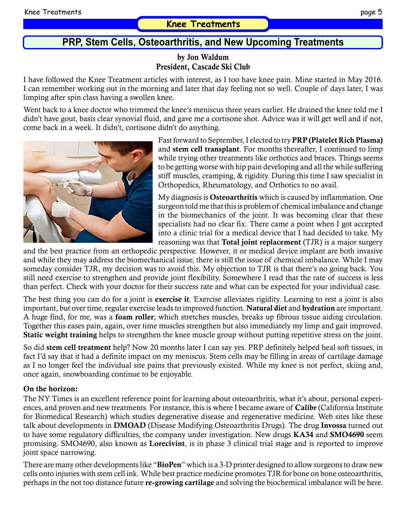# **PRP, Stem Cells, Osteoarthritis, and New Upcoming Treatments**

#### by Jon Waldum President, Cascade Ski Club

I have followed the Knee Treatment articles with interest, as I too have knee pain. Mine started in May 2016. I can remember working out in the morning and later that day feeling not so well. Couple of days later, I was limping after spin class having a swollen knee.

Went back to a knee doctor who trimmed the knee's meniscus three years earlier. He drained the knee told me I didn't have gout, basis clear synovial fluid, and gave me a cortisone shot. Advice was it will get well and if not, come back in a week. It didn't, cortisone didn't do anything.



Fast forward to September, I elected to try PRP (Platelet Rich Plasma) and stem cell transplant. For months thereafter, I continued to limp while trying other treatments like orthotics and braces. Things seems to be getting worse with hip pain developing and all the while suffering stiff muscles, cramping, & rigidity. During this time I saw specialist in Orthopedics, Rheumatology, and Orthotics to no avail.

My diagnosis is **Osteoarthritis** which is caused by inflammation. One surgeon told me that this is problem of chemical imbalance and change in the biomechanics of the joint. It was becoming clear that these specialists had no clear fix. There came a point when I got accepted into a clinic trial for a medical device that I had decided to take. My reasoning was that Total joint replacement (TJR) is a major surgery

and the best practice from an orthopedic perspective. However, it or medical device implant are both invasive and while they may address the biomechanical issue, there is still the issue of chemical imbalance. While I may someday consider TJR, my decision was to avoid this. My objection to TJR is that there's no going back. You still need exercise to strengthen and provide joint flexibility. Somewhere I read that the rate of success is less than perfect. Check with your doctor for their success rate and what can be expected for your individual case.

The best thing you can do for a joint is exercise it. Exercise alleviates rigidity. Learning to rest a joint is also important, but over time, regular exercise leads to improved function. Natural diet and hydration are important. A huge find, for me, was a foam roller; which stretches muscles, breaks up fibrous tissue aiding circulation. Together this eases pain, again, over time muscles strengthen but also immediately my limp and gait improved. Static weight training helps to strengthen the knee muscle group without putting repetitive stress on the joint.

So did stem cell treatment help? Now 20 months later I can say yes. PRP definitely helped heal soft tissues, in fact I'd say that it had a definite impact on my meniscus. Stem cells may be filling in areas of cartilage damage as I no longer feel the individual site pains that previously existed. While my knee is not perfect, skiing and, once again, snowboarding continue to be enjoyable.

#### On the horizon:

The NY Times is an excellent reference point for learning about osteoarthritis, what it's about, personal experiences, and proven and new treatments. For instance, this is where I became aware of Calibr (California Institute for Biomedical Research) which studies degenerative disease and regenerative medicine. Web sites like these talk about developments in DMOAD (Disease Modifying Osteoarthritis Drugs). The drug Invossa turned out to have some regulatory difficulties, the company under investigation. New drugs KA34 and SMO4690 seem promising. SMO4690, also known as Lorecivint, is in phase 3 clinical trial stage and is reported to improve joint space narrowing.

There are many other developments like "BioPen" which is a 3-D printer designed to allow surgeons to draw new cells onto injuries with stem cell ink. While best practice medicine promotes TJR for bone on bone osteoarthritis, perhaps in the not too distance future re-growing cartilage and solving the biochemical imbalance will be here.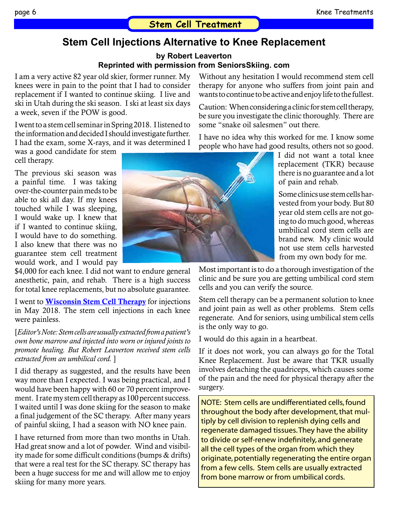# **Stem Cell Injections Alternative to Knee Replacement**

**by Robert Leaverton**

#### **Reprinted with permission from SeniorsSkiing. com**

I am a very active 82 year old skier, former runner. My knees were in pain to the point that I had to consider replacement if I wanted to continue skiing. I live and ski in Utah during the ski season. I ski at least six days a week, seven if the POW is good.

I went to a stem cell seminar in Spring 2018. I listened to the information and decided I should investigate further. I had the exam, some X-rays, and it was determined I

was a good candidate for stem cell therapy.

The previous ski season was a painful time. I was taking over-the-counter pain meds to be able to ski all day. If my knees touched while I was sleeping, I would wake up. I knew that if I wanted to continue skiing, I would have to do something. I also knew that there was no guarantee stem cell treatment would work, and I would pay

\$4,000 for each knee. I did not want to endure general anesthetic, pain, and rehab. There is a high success for total knee replacements, but no absolute guarantee.

I went to **[Wisconsin Stem Cell Therapy](https://www.wistemcell.com/)** for injections in May 2018. The stem cell injections in each knee were painless.

[*Editor's Note: Stem cells are usually extracted from a patient's own bone marrow and injected into worn or injured joints to promote healing. But Robert Leaverton received stem cells extracted from an umbilical cord.* ]

I did therapy as suggested, and the results have been way more than I expected. I was being practical, and I would have been happy with 60 or 70 percent improvement. I rate my stem cell therapy as 100 percent success. I waited until I was done skiing for the season to make a final judgement of the SC therapy. After many years of painful skiing, I had a season with NO knee pain.

I have returned from more than two months in Utah. Had great snow and a lot of powder. Wind and visibility made for some difficult conditions (bumps & drifts) that were a real test for the SC therapy. SC therapy has been a huge success for me and will allow me to enjoy skiing for many more years.

Without any hesitation I would recommend stem cell therapy for anyone who suffers from joint pain and wants to continue to be active and enjoy life to the fullest.

Caution: When considering a clinic for stem cell therapy, be sure you investigate the clinic thoroughly. There are some "snake oil salesmen" out there.

I have no idea why this worked for me. I know some people who have had good results, others not so good.

> I did not want a total knee replacement (TKR) because there is no guarantee and a lot of pain and rehab.

> Some clinics use stem cells harvested from your body. But 80 year old stem cells are not going to do much good, whereas umbilical cord stem cells are brand new. My clinic would not use stem cells harvested from my own body for me.

Most important is to do a thorough investigation of the clinic and be sure you are getting umbilical cord stem cells and you can verify the source.

Stem cell therapy can be a permanent solution to knee and joint pain as well as other problems. Stem cells regenerate. And for seniors, using umbilical stem cells is the only way to go.

I would do this again in a heartbeat.

If it does not work, you can always go for the Total Knee Replacement. Just be aware that TKR usually involves detaching the quadriceps, which causes some of the pain and the need for physical therapy after the surgery.

NOTE: Stem cells are undifferentiated cells, found throughout the body after development, that multiply by cell division to replenish dying cells and regenerate damaged tissues. They have the ability to divide or self-renew indefinitely, and generate all the cell types of the organ from which they originate, potentially regenerating the entire organ from a few cells. Stem cells are usually extracted from bone marrow or from umbilical cords.

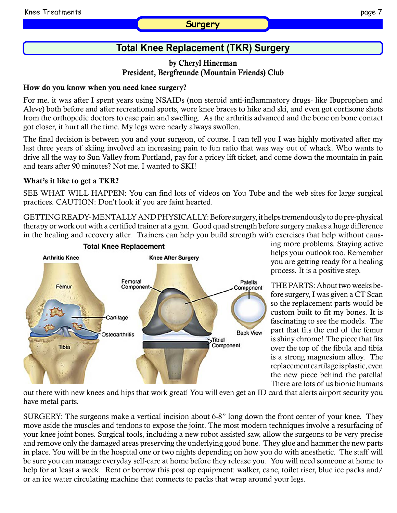#### **Surgery**

#### by Cheryl Hinerman President, Bergfreunde (Mountain Friends) Club

#### How do you know when you need knee surgery?

For me, it was after I spent years using NSAIDs (non steroid anti-inflammatory drugs- like Ibuprophen and Aleve) both before and after recreational sports, wore knee braces to hike and ski, and even got cortisone shots from the orthopedic doctors to ease pain and swelling. As the arthritis advanced and the bone on bone contact got closer, it hurt all the time. My legs were nearly always swollen.

The final decision is between you and your surgeon, of course. I can tell you I was highly motivated after my last three years of skiing involved an increasing pain to fun ratio that was way out of whack. Who wants to drive all the way to Sun Valley from Portland, pay for a pricey lift ticket, and come down the mountain in pain and tears after 90 minutes? Not me. I wanted to SKI!

#### What's it like to get a TKR?

SEE WHAT WILL HAPPEN: You can find lots of videos on You Tube and the web sites for large surgical practices. CAUTION: Don't look if you are faint hearted.

GETTING READY- MENTALLY AND PHYSICALLY: Before surgery, it helps tremendously to do pre-physical therapy or work out with a certified trainer at a gym. Good quad strength before surgery makes a huge difference in the healing and recovery after. Trainers can help you build strength with exercises that help without caus-



ing more problems. Staying active helps your outlook too. Remember you are getting ready for a healing process. It is a positive step.

THE PARTS: About two weeks before surgery, I was given a CT Scan so the replacement parts would be custom built to fit my bones. It is fascinating to see the models. The part that fits the end of the femur is shiny chrome! The piece that fits over the top of the fibula and tibia is a strong magnesium alloy. The replacement cartilage is plastic, even the new piece behind the patella! There are lots of us bionic humans

out there with new knees and hips that work great! You will even get an ID card that alerts airport security you have metal parts.

SURGERY: The surgeons make a vertical incision about 6-8" long down the front center of your knee. They move aside the muscles and tendons to expose the joint. The most modern techniques involve a resurfacing of your knee joint bones. Surgical tools, including a new robot assisted saw, allow the surgeons to be very precise and remove only the damaged areas preserving the underlying good bone. They glue and hammer the new parts in place. You will be in the hospital one or two nights depending on how you do with anesthetic. The staff will be sure you can manage everyday self-care at home before they release you. You will need someone at home to help for at least a week. Rent or borrow this post op equipment: walker, cane, toilet riser, blue ice packs and/ or an ice water circulating machine that connects to packs that wrap around your legs.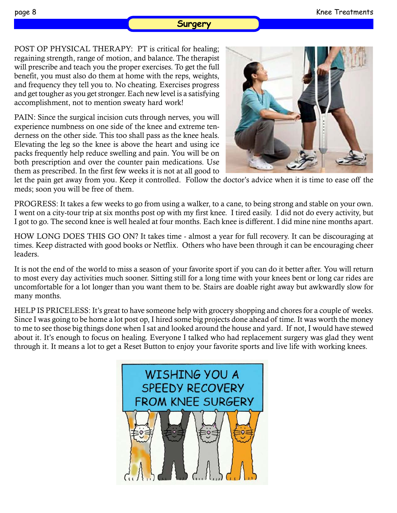#### **Surgery**

POST OP PHYSICAL THERAPY: PT is critical for healing; regaining strength, range of motion, and balance. The therapist will prescribe and teach you the proper exercises. To get the full benefit, you must also do them at home with the reps, weights, and frequency they tell you to. No cheating. Exercises progress and get tougher as you get stronger. Each new level is a satisfying accomplishment, not to mention sweaty hard work!

PAIN: Since the surgical incision cuts through nerves, you will experience numbness on one side of the knee and extreme tenderness on the other side. This too shall pass as the knee heals. Elevating the leg so the knee is above the heart and using ice packs frequently help reduce swelling and pain. You will be on both prescription and over the counter pain medications. Use them as prescribed. In the first few weeks it is not at all good to



let the pain get away from you. Keep it controlled. Follow the doctor's advice when it is time to ease off the meds; soon you will be free of them.

PROGRESS: It takes a few weeks to go from using a walker, to a cane, to being strong and stable on your own. I went on a city-tour trip at six months post op with my first knee. I tired easily. I did not do every activity, but I got to go. The second knee is well healed at four months. Each knee is different. I did mine nine months apart.

HOW LONG DOES THIS GO ON? It takes time - almost a year for full recovery. It can be discouraging at times. Keep distracted with good books or Netflix. Others who have been through it can be encouraging cheer leaders.

It is not the end of the world to miss a season of your favorite sport if you can do it better after. You will return to most every day activities much sooner. Sitting still for a long time with your knees bent or long car rides are uncomfortable for a lot longer than you want them to be. Stairs are doable right away but awkwardly slow for many months.

HELP IS PRICELESS: It's great to have someone help with grocery shopping and chores for a couple of weeks. Since I was going to be home a lot post op, I hired some big projects done ahead of time. It was worth the money to me to see those big things done when I sat and looked around the house and yard. If not, I would have stewed about it. It's enough to focus on healing. Everyone I talked who had replacement surgery was glad they went through it. It means a lot to get a Reset Button to enjoy your favorite sports and live life with working knees.

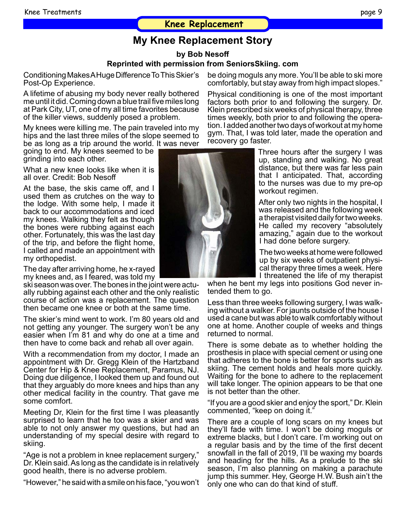#### **Knee Replacement**

# **My Knee Replacement Story**

**by Bob Nesoff**

#### **Reprinted with permission from SeniorsSkiing. com**

Conditioning Makes A Huge Difference To This Skier's Post-Op Experience.

A lifetime of abusing my body never really bothered me until it did. Coming down a blue trail five miles long at Park City, UT, one of my all time favorites because of the killer views, suddenly posed a problem.

My knees were killing me. The pain traveled into my hips and the last three miles of the slope seemed to be as long as a trip around the world. It was never

going to end. My knees seemed to be grinding into each other.

What a new knee looks like when it is all over. Credit: Bob Nesoff

At the base, the skis came off, and I used them as crutches on the way to the lodge. With some help, I made it back to our accommodations and iced my knees. Walking they felt as though the bones were rubbing against each other. Fortunately, this was the last day of the trip, and before the flight home, I called and made an appointment with my orthopedist.

The day after arriving home, he x-rayed my knees and, as I feared, was told my

ski season was over. The bones in the joint were actu- ally rubbing against each other and the only realistic course of action was a replacement. The question then became one knee or both at the same time.

The skier's mind went to work. I'm 80 years old and not getting any younger. The surgery won't be any easier when I'm 81 and why do one at a time and then have to come back and rehab all over again.

With a recommendation from my doctor, I made an appointment with Dr. Gregg Klein of the Hartzband Center for Hip & Knee Replacement, Paramus, NJ. Doing due diligence, I looked them up and found out that they arguably do more knees and hips than any other medical facility in the country. That gave me some comfort.

Meeting Dr, Klein for the first time I was pleasantly surprised to learn that he too was a skier and was able to not only answer my questions, but had an understanding of my special desire with regard to skiing.

"Age is not a problem in knee replacement surgery," Dr. Klein said. As long as the candidate is in relatively good health, there is no adverse problem.

"However," he said with a smile on his face, "you won't

be doing moguls any more. You'll be able to ski more comfortably, but stay away from high impact slopes."

Physical conditioning is one of the most important factors both prior to and following the surgery. Dr. Klein prescribed six weeks of physical therapy, three times weekly, both prior to and following the operation. I added another two days of workout at my home gym. That, I was told later, made the operation and recovery go faster.

> Three hours after the surgery I was up, standing and walking. No great distance, but there was far less pain that I anticipated. That, according to the nurses was due to my pre-op workout regimen.

> After only two nights in the hospital, I was released and the following week a therapist visited daily for two weeks. He called my recovery "absolutely amazing," again due to the workout I had done before surgery.

> The two weeks at home were followed up by six weeks of outpatient physical therapy three times a week. Here I threatened the life of my therapist

when he bent my legs into positions God never intended them to go.

Less than three weeks following surgery, I was walking without a walker. For jaunts outside of the house I used a cane but was able to walk comfortably without one at home. Another couple of weeks and things returned to normal.

There is some debate as to whether holding the prosthesis in place with special cement or using one that adheres to the bone is better for sports such as skiing. The cement holds and heals more quickly. Waiting for the bone to adhere to the replacement will take longer. The opinion appears to be that one is not better than the other.

"If you are a good skier and enjoy the sport," Dr. Klein commented, "keep on doing it."

There are a couple of long scars on my knees but they'll fade with time. I won't be doing moguls or extreme blacks, but I don't care. I'm working out on a regular basis and by the time of the first decent snowfall in the fall of 2019, I'll be waxing my boards and heading for the hills. As a prelude to the ski season, I'm also planning on making a parachute jump this summer. Hey, George H.W. Bush ain't the only one who can do that kind of stuff.